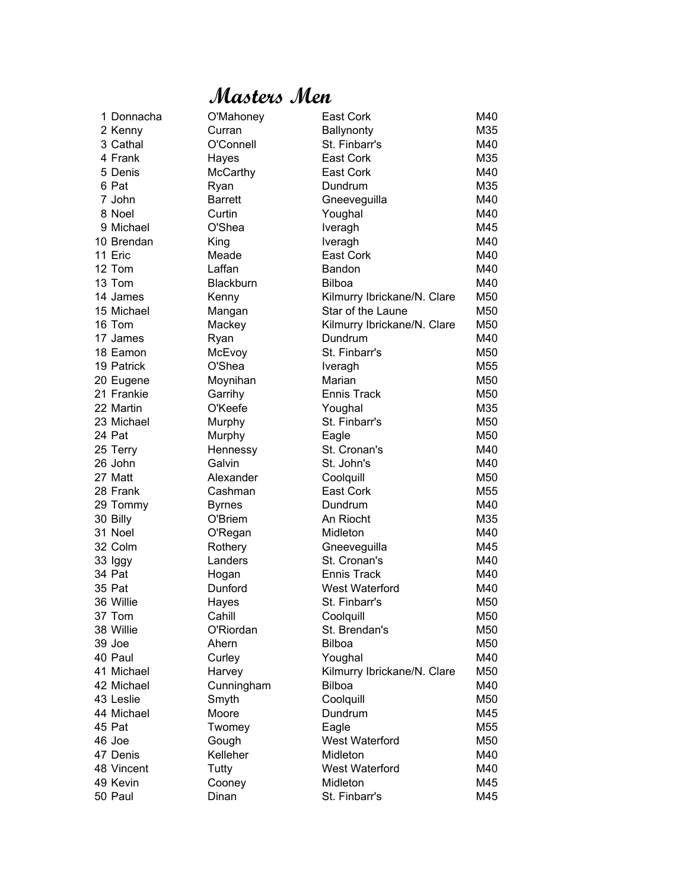#### **Masters Men**

| 1 Donnacha | O'Mahoney       | East Cork                   | M40 |
|------------|-----------------|-----------------------------|-----|
| 2 Kenny    | Curran          | Ballynonty                  | M35 |
| 3 Cathal   | O'Connell       | St. Finbarr's               | M40 |
| 4 Frank    | Hayes           | East Cork                   | M35 |
| 5 Denis    | <b>McCarthy</b> | East Cork                   | M40 |
| 6 Pat      | Ryan            | Dundrum                     | M35 |
| 7 John     | <b>Barrett</b>  | Gneeveguilla                | M40 |
| 8 Noel     | Curtin          | Youghal                     | M40 |
| 9 Michael  | O'Shea          | Iveragh                     | M45 |
| 10 Brendan | King            | Iveragh                     | M40 |
| 11 Eric    | Meade           | East Cork                   | M40 |
| 12 Tom     | Laffan          | Bandon                      | M40 |
| 13 Tom     | Blackburn       | <b>Bilboa</b>               | M40 |
| 14 James   | Kenny           | Kilmurry Ibrickane/N. Clare | M50 |
| 15 Michael | Mangan          | Star of the Laune           | M50 |
| 16 Tom     | Mackey          | Kilmurry Ibrickane/N. Clare | M50 |
| 17 James   | Ryan            | Dundrum                     | M40 |
| 18 Eamon   | McEvoy          | St. Finbarr's               | M50 |
| 19 Patrick | O'Shea          | Iveragh                     | M55 |
| 20 Eugene  | Moynihan        | Marian                      | M50 |
| 21 Frankie | Garrihy         | <b>Ennis Track</b>          | M50 |
| 22 Martin  | O'Keefe         | Youghal                     | M35 |
| 23 Michael | Murphy          | St. Finbarr's               | M50 |
| 24 Pat     | Murphy          | Eagle                       | M50 |
| 25 Terry   | Hennessy        | St. Cronan's                | M40 |
| 26 John    | Galvin          | St. John's                  | M40 |
| 27 Matt    | Alexander       | Coolquill                   | M50 |
| 28 Frank   | Cashman         | East Cork                   | M55 |
| 29 Tommy   | <b>Byrnes</b>   | Dundrum                     | M40 |
| 30 Billy   | O'Briem         | An Riocht                   | M35 |
| 31 Noel    | O'Regan         | Midleton                    | M40 |
| 32 Colm    | Rothery         | Gneeveguilla                | M45 |
| 33 Iggy    | Landers         | St. Cronan's                | M40 |
| 34 Pat     | Hogan           | Ennis Track                 | M40 |
| 35 Pat     | Dunford         | West Waterford              | M40 |
| 36 Willie  | Hayes           | St. Finbarr's               | M50 |
| 37 Tom     | Cahill          | Coolquill                   | M50 |
| 38 Willie  | O'Riordan       | St. Brendan's               | M50 |
| 39 Joe     | Ahern           | <b>Bilboa</b>               | M50 |
| 40 Paul    | Curley          | Youghal                     | M40 |
| 41 Michael | Harvey          | Kilmurry Ibrickane/N. Clare | M50 |
| 42 Michael | Cunningham      | <b>Bilboa</b>               | M40 |
| 43 Leslie  | Smyth           | Coolquill                   | M50 |
| 44 Michael | Moore           | Dundrum                     | M45 |
| 45 Pat     | Twomey          | Eagle                       | M55 |
| 46 Joe     | Gough           | West Waterford              | M50 |
| 47 Denis   | Kelleher        | Midleton                    | M40 |
| 48 Vincent | Tutty           | West Waterford              | M40 |
| 49 Kevin   | Cooney          | Midleton                    | M45 |
| 50 Paul    | Dinan           | St. Finbarr's               | M45 |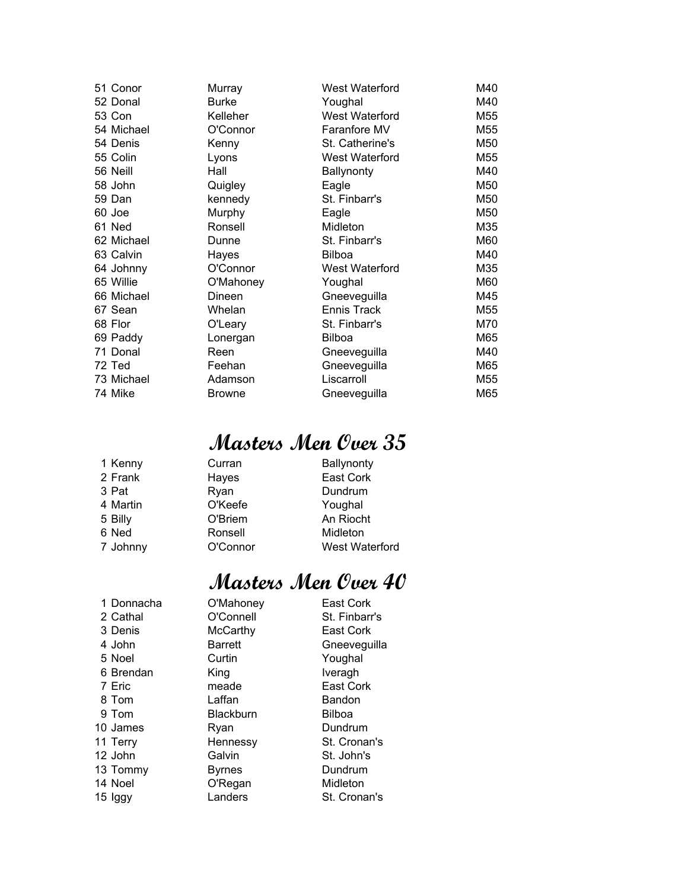| 51 Conor   | Murray        | West Waterford        | M40 |
|------------|---------------|-----------------------|-----|
| 52 Donal   | <b>Burke</b>  | Youghal               | M40 |
| 53 Con     | Kelleher      | <b>West Waterford</b> | M55 |
| 54 Michael | O'Connor      | Faranfore MV          | M55 |
| 54 Denis   | Kenny         | St. Catherine's       | M50 |
| 55 Colin   | Lyons         | West Waterford        | M55 |
| 56 Neill   | Hall          | Ballynonty            | M40 |
| 58 John    | Quigley       | Eagle                 | M50 |
| 59 Dan     | kennedy       | St. Finbarr's         | M50 |
| 60 Joe     | Murphy        | Eagle                 | M50 |
| 61 Ned     | Ronsell       | Midleton              | M35 |
| 62 Michael | Dunne         | St. Finbarr's         | M60 |
| 63 Calvin  | Hayes         | <b>Bilboa</b>         | M40 |
| 64 Johnny  | O'Connor      | West Waterford        | M35 |
| 65 Willie  | O'Mahoney     | Youghal               | M60 |
| 66 Michael | Dineen        | Gneeveguilla          | M45 |
| 67 Sean    | Whelan        | Ennis Track           | M55 |
| 68 Flor    | O'Leary       | St. Finbarr's         | M70 |
| 69 Paddy   | Lonergan      | <b>Bilboa</b>         | M65 |
| 71 Donal   | Reen          | Gneeveguilla          | M40 |
| 72 Ted     | Feehan        | Gneeveguilla          | M65 |
| 73 Michael | Adamson       | Liscarroll            | M55 |
| 74 Mike    | <b>Browne</b> | Gneeveguilla          | M65 |

| 1 Kenny  | Curran   | <b>Ballynonty</b> |
|----------|----------|-------------------|
| 2 Frank  | Hayes    | East Cork         |
| 3 Pat    | Ryan     | Dundrum           |
| 4 Martin | O'Keefe  | Youghal           |
| 5 Billy  | O'Briem  | An Riocht         |
| 6 Ned    | Ronsell  | Midleton          |
| 7 Johnny | O'Connor | West Waterford    |
|          |          |                   |

| 1 Donnacha | O'Mahoney        | East Cork     |
|------------|------------------|---------------|
| 2 Cathal   | O'Connell        | St. Finbarr's |
| 3 Denis    | <b>McCarthy</b>  | East Cork     |
| 4 John     | <b>Barrett</b>   | Gneeveguilla  |
| 5 Noel     | Curtin           | Youghal       |
| 6 Brendan  | King             | Iveragh       |
| 7 Eric     | meade            | East Cork     |
| 8 Tom      | Laffan           | Bandon        |
| 9 Tom      | <b>Blackburn</b> | <b>Bilboa</b> |
| 10 James   | Ryan             | Dundrum       |
| 11 Terry   | Hennessy         | St. Cronan's  |
| 12 John    | Galvin           | St. John's    |
| 13 Tommy   | <b>Byrnes</b>    | Dundrum       |
| 14 Noel    | O'Regan          | Midleton      |
| 15 Iggy    | Landers          | St. Cronan's  |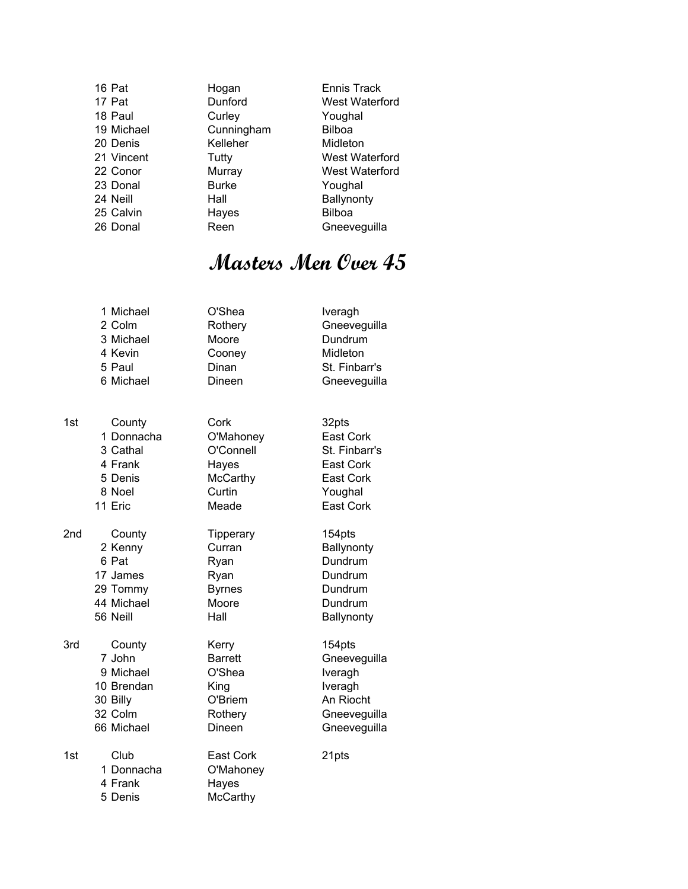| 16 Pat     | Hogan        | <b>Ennis Track</b>    |
|------------|--------------|-----------------------|
| 17 Pat     | Dunford      | West Waterford        |
| 18 Paul    | Curley       | Youghal               |
| 19 Michael | Cunningham   | <b>Bilboa</b>         |
| 20 Denis   | Kelleher     | Midleton              |
| 21 Vincent | Tutty        | <b>West Waterford</b> |
| 22 Conor   | Murray       | West Waterford        |
| 23 Donal   | <b>Burke</b> | Youghal               |
| 24 Neill   | Hall         | Ballynonty            |
| 25 Calvin  | Hayes        | <b>Bilboa</b>         |
| 26 Donal   | Reen         | Gneeveguilla          |

| 1 Michael | O'Shea  | Iveragh       |
|-----------|---------|---------------|
| 2 Colm    | Rothery | Gneeveguilla  |
| 3 Michael | Moore   | Dundrum       |
| 4 Kevin   | Cooney  | Midleton      |
| 5 Paul    | Dinan   | St. Finbarr's |
| 6 Michael | Dineen  | Gneeveguilla  |
|           |         |               |

| 1st | County     | Cork             | 32pts            |
|-----|------------|------------------|------------------|
|     | 1 Donnacha | O'Mahoney        | East Cork        |
|     | 3 Cathal   | O'Connell        | St. Finbarr's    |
|     | 4 Frank    | Hayes            | <b>East Cork</b> |
|     | 5 Denis    | <b>McCarthy</b>  | <b>East Cork</b> |
|     | 8 Noel     | Curtin           | Youghal          |
|     | 11 Eric    | Meade            | East Cork        |
| 2nd | County     | <b>Tipperary</b> | 154pts           |
|     | 2 Kenny    | Curran           | Ballynonty       |
|     | 6 Pat      | Ryan             | Dundrum          |
|     | 17 James   | Ryan             | Dundrum          |
|     | 29 Tommy   | <b>Byrnes</b>    | Dundrum          |
|     | 44 Michael | Moore            | Dundrum          |
|     | 56 Neill   | Hall             | Ballynonty       |
| 3rd | County     | Kerry            | 154pts           |
|     | 7 John     | <b>Barrett</b>   | Gneeveguilla     |
|     | 9 Michael  | O'Shea           | Iveragh          |
|     | 10 Brendan | King             | Iveragh          |
|     | 30 Billy   | O'Briem          | An Riocht        |
|     | 32 Colm    | Rothery          | Gneeveguilla     |
|     | 66 Michael | Dineen           | Gneeveguilla     |
| 1st | Club       | East Cork        | 21pts            |
|     | 1 Donnacha | O'Mahoney        |                  |
|     | 4 Frank    | Hayes            |                  |
|     | 5 Denis    | McCarthy         |                  |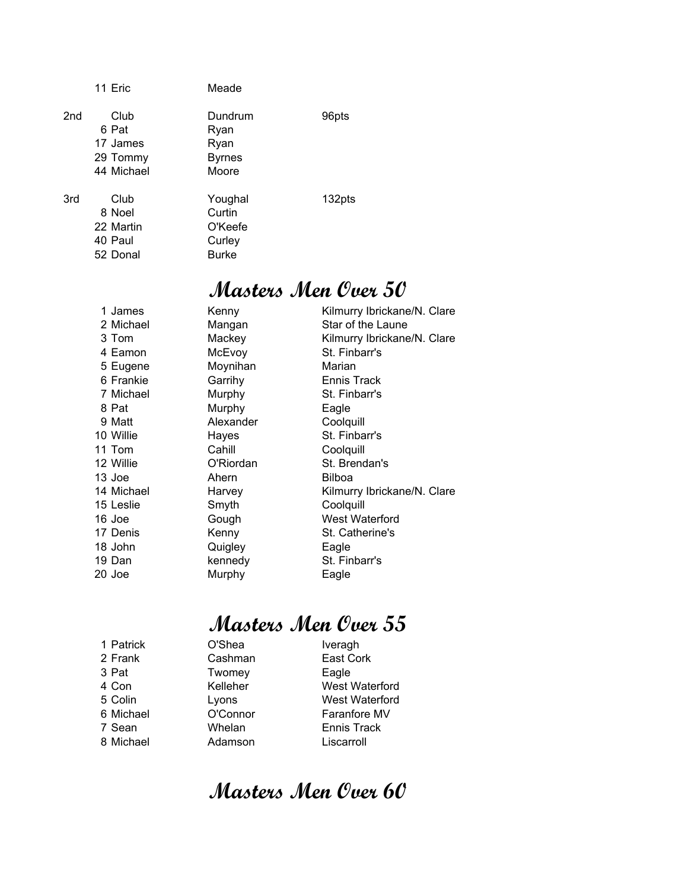|                 | 11 Eric                                             | Meade                                                  |        |
|-----------------|-----------------------------------------------------|--------------------------------------------------------|--------|
| 2 <sub>nd</sub> | Club<br>6 Pat<br>17 James<br>29 Tommy<br>44 Michael | Dundrum<br>Ryan<br>Ryan<br><b>Byrnes</b><br>Moore      | 96pts  |
| 3rd             | Club<br>8 Noel<br>22 Martin<br>40 Paul<br>52 Donal  | Youghal<br>Curtin<br>O'Keefe<br>Curley<br><b>Burke</b> | 132pts |

| 1 James    | Kenny     | Kilmurry Ibrickane/N. Clare |
|------------|-----------|-----------------------------|
| 2 Michael  | Mangan    | Star of the Laune           |
| 3 Tom      | Mackey    | Kilmurry Ibrickane/N. Clare |
| 4 Eamon    | McEvoy    | St. Finbarr's               |
| 5 Eugene   | Moynihan  | Marian                      |
| 6 Frankie  | Garrihy   | Ennis Track                 |
| 7 Michael  | Murphy    | St. Finbarr's               |
| 8 Pat      | Murphy    | Eagle                       |
| 9 Matt     | Alexander | Coolquill                   |
| 10 Willie  | Hayes     | St. Finbarr's               |
| 11 Tom     | Cahill    | Coolquill                   |
| 12 Willie  | O'Riordan | St. Brendan's               |
| 13 Joe     | Ahern     | <b>Bilboa</b>               |
| 14 Michael | Harvey    | Kilmurry Ibrickane/N. Clare |
| 15 Leslie  | Smyth     | Coolquill                   |
| 16 Joe     | Gough     | West Waterford              |
| 17 Denis   | Kenny     | St. Catherine's             |
| 18 John    | Quigley   | Eagle                       |
| 19 Dan     | kennedy   | St. Finbarr's               |
| 20 Joe     | Murphy    | Eagle                       |
|            |           |                             |

## **Masters Men Over 55**

| 1 Patrick | O'Shea   | Iveragh            |
|-----------|----------|--------------------|
| 2 Frank   | Cashman  | East Cork          |
| 3 Pat     | Twomey   | Eagle              |
| 4 Con     | Kelleher | West Waterford     |
| 5 Colin   | Lyons    | West Waterford     |
| 6 Michael | O'Connor | Faranfore MV       |
| 7 Sean    | Whelan   | <b>Ennis Track</b> |
| 8 Michael | Adamson  | Liscarroll         |
|           |          |                    |